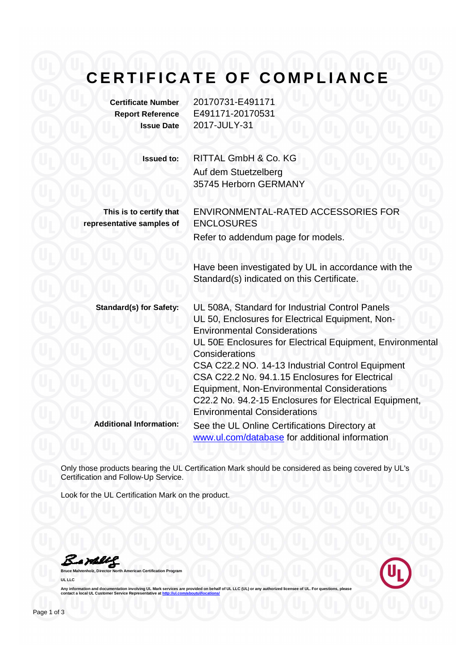## CERTIFICATE OF COMPLIANCE

| <b>Certificate Number</b> | ۷ |
|---------------------------|---|
| <b>Report Reference</b>   | Е |
| <b>Issue Date</b>         | 2 |

**Certificate Number** 20170731-E491171 **Report Reference** E491171-20170531 **Issue Date** 2017-JULY-31

**Issued to:** RITTAL GmbH & Co. KG Auf dem Stuetzelberg 35745 Herborn GERMANY

**This is to certify that representative samples of**

ENVIRONMENTAL-RATED ACCESSORIES FOR ENCLOSURES Refer to addendum page for models.

Have been investigated by UL in accordance with the Standard(s) indicated on this Certificate.

**Standard(s) for Safety:** UL 508A, Standard for Industrial Control Panels UL 50, Enclosures for Electrical Equipment, Non-Environmental Considerations UL 50E Enclosures for Electrical Equipment, Environmental **Considerations** CSA C22.2 NO. 14-13 Industrial Control Equipment CSA C22.2 No. 94.1.15 Enclosures for Electrical Equipment, Non-Environmental Considerations C22.2 No. 94.2-15 Enclosures for Electrical Equipment, Environmental Considerations **Additional Information:** See the UL Online Certifications Directory at

www.ul.com/database for additional information

Only those products bearing the UL Certification Mark should be considered as being covered by UL's Certification and Follow-Up Service.

Look for the UL Certification Mark on the product.

Bamler **Bruce Mahrenholz, Director North American Certification Program**

**UL LLC** 

Any information and documentation involving UL Mark services are provided on behalf of UL LLC (UL) or any **containmentation at the aboutune at the service Representation and Locations at**  $\frac{1}{2}$  **and**  $\frac{1}{2}$  **are set on**  $\frac{1}{2}$  **and**  $\frac{1}{2}$  **are set on**  $\frac{1}{2}$  **and**  $\frac{1}{2}$  **are set on**  $\frac{1}{2}$  **and**  $\frac{1}{2}$  **are set on**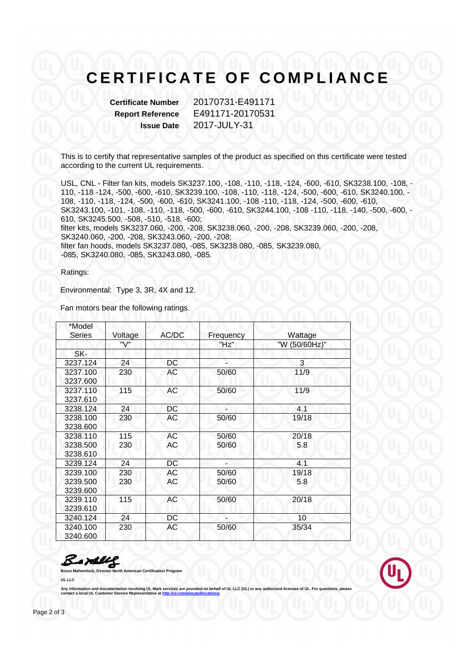## **CERTIFICATE OF COMPLIANCE**

**Certificate Number** 20170731-E491171 **Report Reference** E491171-20170531 **Issue Date** 2017-JULY-31

This is to certify that representative samples of the product as specified on this certificate were tested according to the current UL requirements.

USL, CNL - Filter fan kits, models SK3237.100, -108, -110, -118, -124, -600, -610, SK3238.100, -108, - 110, -118 -124, -500, -600, -610, SK3239.100, -108, -110, -118, -124, -500, -600, -610, SK3240.100, - 108, -110, -118, -124, -500, -600, -610, SK3241.100, -108 -110, -118, -124, -500, -600, -610, SK3243.100, -101, -108, -110, -118, -500, -600, -610, SK3244.100, -108 -110, -118, -140, -500, -600, - 610, SK3245.500, -508, -510, -518, -600; filter kits, models SK3237.060, -200, -208, SK3238.060, -200, -208, SK3239.060, -200, -208, SK3240.060, -200, -208, SK3243.060, -200, -208; filter fan hoods, models SK3237.080, -085, SK3238.080, -085, SK3239.080, -085, SK3240.080, -085, SK3243.080, -085.

Ratings:

Environmental: Type 3, 3R, 4X and 12.

Fan motors bear the following ratings.

| *Model<br>Series                 | Voltage    | AC/DC           | Frequency      | Wattage       |  |
|----------------------------------|------------|-----------------|----------------|---------------|--|
|                                  | "V"        |                 | "Hz"           | "W (50/60Hz)" |  |
| SK-                              |            |                 |                |               |  |
| 3237.124                         | 24         | DC              |                | 3             |  |
| 3237.100<br>3237.600             | 230        | АC              | 50/60          | 11/9          |  |
| 3237.110<br>3237.610             | 115        | AC              | 50/60          | 11/9          |  |
| 3238.124                         | 24         | DC              | z              | 4.1           |  |
| 3238.100<br>3238.600             | 230        | АC              | 50/60          | 19/18         |  |
| 3238.110<br>3238.500<br>3238.610 | 115<br>230 | <b>AC</b><br>АC | 50/60<br>50/60 | 20/18<br>5.8  |  |
| 3239.124                         | 24         | <b>DC</b>       |                | 4.1           |  |
| 3239.100<br>3239.500<br>3239.600 | 230<br>230 | АC<br>АC        | 50/60<br>50/60 | 19/18<br>5.8  |  |
| 3239.110<br>3239.610             | 115        | AC              | 50/60          | 20/18         |  |
| 3240.124                         | 24         | DC              |                | 10            |  |
| 3240.100<br>3240.600             | 230        | АC              | 50/60          | 35/34         |  |

a Hally

**Bruce Mahrenholz, Director North American Certification Program**



Any information and documentation involving UL Mark services are provided on behalf of UL LLC (UL) or an **contact a local UL Customer Service Representative at http://ul.com/aboutul/locations/**